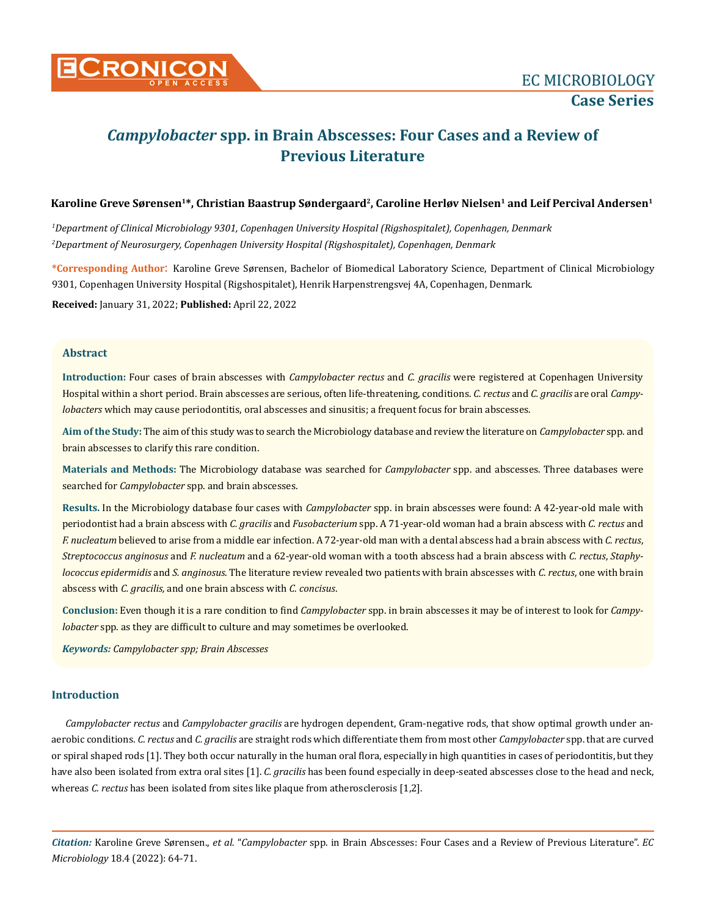

# *Campylobacter* **spp. in Brain Abscesses: Four Cases and a Review of Previous Literature**

#### Karoline Greve Sørensen<sup>1\*</sup>, Christian Baastrup Søndergaard<sup>2</sup>, Caroline Herløv Nielsen<sup>1</sup> and Leif Percival Andersen<sup>1</sup>

*1 Department of Clinical Microbiology 9301, Copenhagen University Hospital (Rigshospitalet), Copenhagen, Denmark 2 Department of Neurosurgery, Copenhagen University Hospital (Rigshospitalet), Copenhagen, Denmark*

**\*Corresponding Author**: Karoline Greve Sørensen, Bachelor of Biomedical Laboratory Science, Department of Clinical Microbiology 9301, Copenhagen University Hospital (Rigshospitalet), Henrik Harpenstrengsvej 4A, Copenhagen, Denmark.

**Received:** January 31, 2022; **Published:** April 22, 2022

#### **Abstract**

**Introduction:** Four cases of brain abscesses with *Campylobacter rectus* and *C. gracilis* were registered at Copenhagen University Hospital within a short period. Brain abscesses are serious, often life-threatening, conditions. *C. rectus* and *C. gracilis* are oral *Campylobacters* which may cause periodontitis, oral abscesses and sinusitis; a frequent focus for brain abscesses.

**Aim of the Study:** The aim of this study was to search the Microbiology database and review the literature on *Campylobacter* spp. and brain abscesses to clarify this rare condition.

**Materials and Methods:** The Microbiology database was searched for *Campylobacter* spp. and abscesses. Three databases were searched for *Campylobacter* spp. and brain abscesses.

**Results.** In the Microbiology database four cases with *Campylobacter* spp. in brain abscesses were found: A 42-year-old male with periodontist had a brain abscess with *C. gracilis* and *Fusobacterium* spp. A 71-year-old woman had a brain abscess with *C. rectus* and *F. nucleatum* believed to arise from a middle ear infection. A 72-year-old man with a dental abscess had a brain abscess with *C. rectus*, *Streptococcus anginosus* and *F. nucleatum* and a 62-year-old woman with a tooth abscess had a brain abscess with *C. rectus*, *Staphylococcus epidermidis* and *S. anginosus*. The literature review revealed two patients with brain abscesses with *C. rectus*, one with brain abscess with *C. gracilis,* and one brain abscess with *C. concisus*.

**Conclusion:** Even though it is a rare condition to find *Campylobacter* spp. in brain abscesses it may be of interest to look for *Campylobacter* spp. as they are difficult to culture and may sometimes be overlooked.

*Keywords: Campylobacter spp; Brain Abscesses*

## **Introduction**

*Campylobacter rectus* and *Campylobacter gracilis* are hydrogen dependent, Gram-negative rods, that show optimal growth under anaerobic conditions. *C. rectus* and *C. gracilis* are straight rods which differentiate them from most other *Campylobacter* spp. that are curved or spiral shaped rods [1]. They both occur naturally in the human oral flora, especially in high quantities in cases of periodontitis, but they have also been isolated from extra oral sites [1]. *C. gracilis* has been found especially in deep-seated abscesses close to the head and neck, whereas *C. rectus* has been isolated from sites like plaque from atherosclerosis [1,2].

*Citation:* Karoline Greve Sørensen., *et al.* "*Campylobacter* spp. in Brain Abscesses: Four Cases and a Review of Previous Literature". *EC Microbiology* 18.4 (2022): 64-71.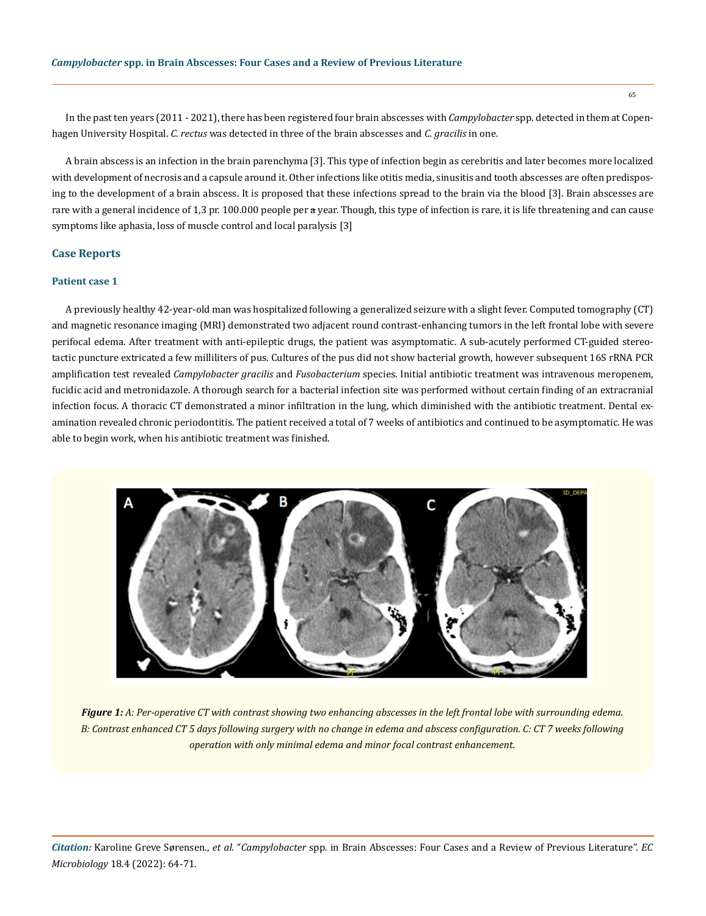In the past ten years (2011 - 2021), there has been registered four brain abscesses with *Campylobacter* spp. detected in them at Copenhagen University Hospital. *C. rectus* was detected in three of the brain abscesses and *C. gracilis* in one.

A brain abscess is an infection in the brain parenchyma [3]. This type of infection begin as cerebritis and later becomes more localized with development of necrosis and a capsule around it. Other infections like otitis media, sinusitis and tooth abscesses are often predisposing to the development of a brain abscess. It is proposed that these infections spread to the brain via the blood [3]. Brain abscesses are rare with a general incidence of 1,3 pr. 100.000 people per a year. Though, this type of infection is rare, it is life threatening and can cause symptoms like aphasia, loss of muscle control and local paralysis [3]

#### **Case Reports**

#### **Patient case 1**

A previously healthy 42-year-old man was hospitalized following a generalized seizure with a slight fever. Computed tomography (CT) and magnetic resonance imaging (MRI) demonstrated two adjacent round contrast-enhancing tumors in the left frontal lobe with severe perifocal edema. After treatment with anti-epileptic drugs, the patient was asymptomatic. A sub-acutely performed CT-guided stereotactic puncture extricated a few milliliters of pus. Cultures of the pus did not show bacterial growth, however subsequent 16S rRNA PCR amplification test revealed *Campylobacter gracilis* and *Fusobacterium* species. Initial antibiotic treatment was intravenous meropenem, fucidic acid and metronidazole. A thorough search for a bacterial infection site was performed without certain finding of an extracranial infection focus. A thoracic CT demonstrated a minor infiltration in the lung, which diminished with the antibiotic treatment. Dental examination revealed chronic periodontitis. The patient received a total of 7 weeks of antibiotics and continued to be asymptomatic. He was able to begin work, when his antibiotic treatment was finished.



*Figure 1: A: Per-operative CT with contrast showing two enhancing abscesses in the left frontal lobe with surrounding edema. B: Contrast enhanced CT 5 days following surgery with no change in edema and abscess configuration. C: CT 7 weeks following operation with only minimal edema and minor focal contrast enhancement.*

*Citation:* Karoline Greve Sørensen., *et al.* "*Campylobacter* spp. in Brain Abscesses: Four Cases and a Review of Previous Literature". *EC Microbiology* 18.4 (2022): 64-71.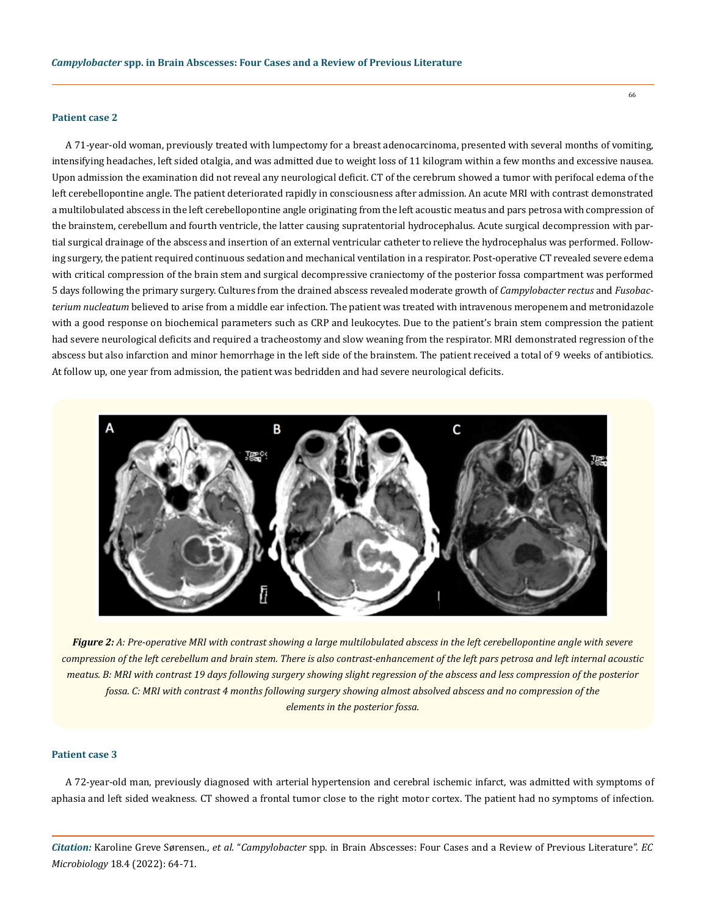#### **Patient case 2**

A 71-year-old woman, previously treated with lumpectomy for a breast adenocarcinoma, presented with several months of vomiting, intensifying headaches, left sided otalgia, and was admitted due to weight loss of 11 kilogram within a few months and excessive nausea. Upon admission the examination did not reveal any neurological deficit. CT of the cerebrum showed a tumor with perifocal edema of the left cerebellopontine angle. The patient deteriorated rapidly in consciousness after admission. An acute MRI with contrast demonstrated a multilobulated abscess in the left cerebellopontine angle originating from the left acoustic meatus and pars petrosa with compression of the brainstem, cerebellum and fourth ventricle, the latter causing supratentorial hydrocephalus. Acute surgical decompression with partial surgical drainage of the abscess and insertion of an external ventricular catheter to relieve the hydrocephalus was performed. Following surgery, the patient required continuous sedation and mechanical ventilation in a respirator. Post-operative CT revealed severe edema with critical compression of the brain stem and surgical decompressive craniectomy of the posterior fossa compartment was performed 5 days following the primary surgery. Cultures from the drained abscess revealed moderate growth of *Campylobacter rectus* and *Fusobacterium nucleatum* believed to arise from a middle ear infection. The patient was treated with intravenous meropenem and metronidazole with a good response on biochemical parameters such as CRP and leukocytes. Due to the patient's brain stem compression the patient had severe neurological deficits and required a tracheostomy and slow weaning from the respirator. MRI demonstrated regression of the abscess but also infarction and minor hemorrhage in the left side of the brainstem. The patient received a total of 9 weeks of antibiotics. At follow up, one year from admission, the patient was bedridden and had severe neurological deficits.



*Figure 2: A: Pre-operative MRI with contrast showing a large multilobulated abscess in the left cerebellopontine angle with severe compression of the left cerebellum and brain stem. There is also contrast-enhancement of the left pars petrosa and left internal acoustic meatus. B: MRI with contrast 19 days following surgery showing slight regression of the abscess and less compression of the posterior fossa. C: MRI with contrast 4 months following surgery showing almost absolved abscess and no compression of the elements in the posterior fossa.*

## **Patient case 3**

A 72-year-old man, previously diagnosed with arterial hypertension and cerebral ischemic infarct, was admitted with symptoms of aphasia and left sided weakness. CT showed a frontal tumor close to the right motor cortex. The patient had no symptoms of infection.

*Citation:* Karoline Greve Sørensen., *et al.* "*Campylobacter* spp. in Brain Abscesses: Four Cases and a Review of Previous Literature". *EC Microbiology* 18.4 (2022): 64-71.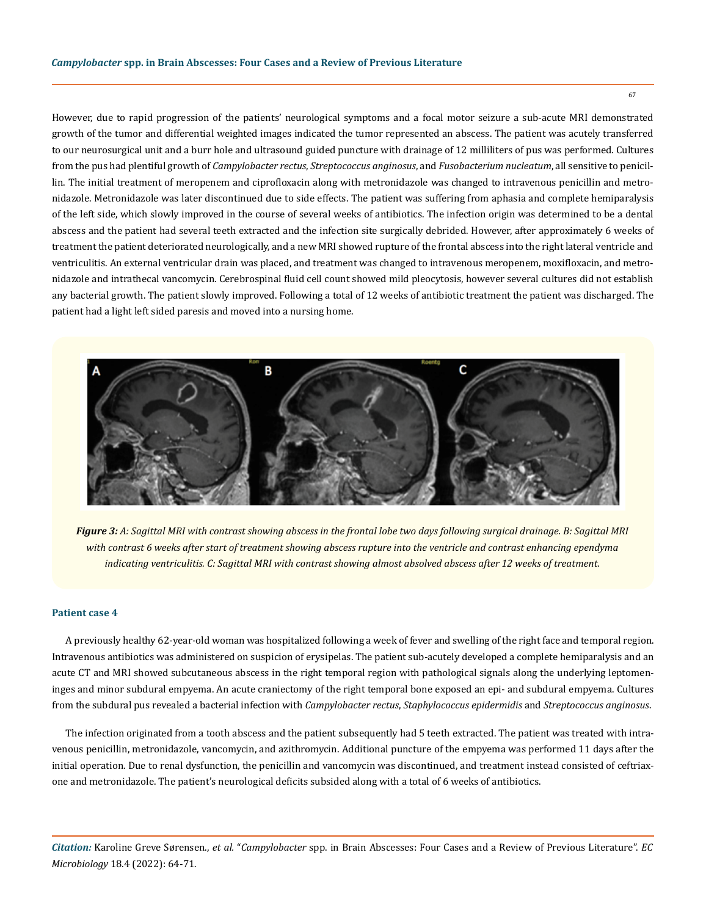However, due to rapid progression of the patients' neurological symptoms and a focal motor seizure a sub-acute MRI demonstrated growth of the tumor and differential weighted images indicated the tumor represented an abscess. The patient was acutely transferred to our neurosurgical unit and a burr hole and ultrasound guided puncture with drainage of 12 milliliters of pus was performed. Cultures from the pus had plentiful growth of *Campylobacter rectus*, *Streptococcus anginosus*, and *Fusobacterium nucleatum*, all sensitive to penicillin. The initial treatment of meropenem and ciprofloxacin along with metronidazole was changed to intravenous penicillin and metronidazole. Metronidazole was later discontinued due to side effects. The patient was suffering from aphasia and complete hemiparalysis of the left side, which slowly improved in the course of several weeks of antibiotics. The infection origin was determined to be a dental abscess and the patient had several teeth extracted and the infection site surgically debrided. However, after approximately 6 weeks of treatment the patient deteriorated neurologically, and a new MRI showed rupture of the frontal abscess into the right lateral ventricle and ventriculitis. An external ventricular drain was placed, and treatment was changed to intravenous meropenem, moxifloxacin, and metronidazole and intrathecal vancomycin. Cerebrospinal fluid cell count showed mild pleocytosis, however several cultures did not establish any bacterial growth. The patient slowly improved. Following a total of 12 weeks of antibiotic treatment the patient was discharged. The patient had a light left sided paresis and moved into a nursing home.



*Figure 3: A: Sagittal MRI with contrast showing abscess in the frontal lobe two days following surgical drainage. B: Sagittal MRI with contrast 6 weeks after start of treatment showing abscess rupture into the ventricle and contrast enhancing ependyma indicating ventriculitis. C: Sagittal MRI with contrast showing almost absolved abscess after 12 weeks of treatment.*

#### **Patient case 4**

A previously healthy 62-year-old woman was hospitalized following a week of fever and swelling of the right face and temporal region. Intravenous antibiotics was administered on suspicion of erysipelas. The patient sub-acutely developed a complete hemiparalysis and an acute CT and MRI showed subcutaneous abscess in the right temporal region with pathological signals along the underlying leptomeninges and minor subdural empyema. An acute craniectomy of the right temporal bone exposed an epi- and subdural empyema. Cultures from the subdural pus revealed a bacterial infection with *Campylobacter rectus*, *Staphylococcus epidermidis* and *Streptococcus anginosus*.

The infection originated from a tooth abscess and the patient subsequently had 5 teeth extracted. The patient was treated with intravenous penicillin, metronidazole, vancomycin, and azithromycin. Additional puncture of the empyema was performed 11 days after the initial operation. Due to renal dysfunction, the penicillin and vancomycin was discontinued, and treatment instead consisted of ceftriaxone and metronidazole. The patient's neurological deficits subsided along with a total of 6 weeks of antibiotics.

*Citation:* Karoline Greve Sørensen., *et al.* "*Campylobacter* spp. in Brain Abscesses: Four Cases and a Review of Previous Literature". *EC Microbiology* 18.4 (2022): 64-71.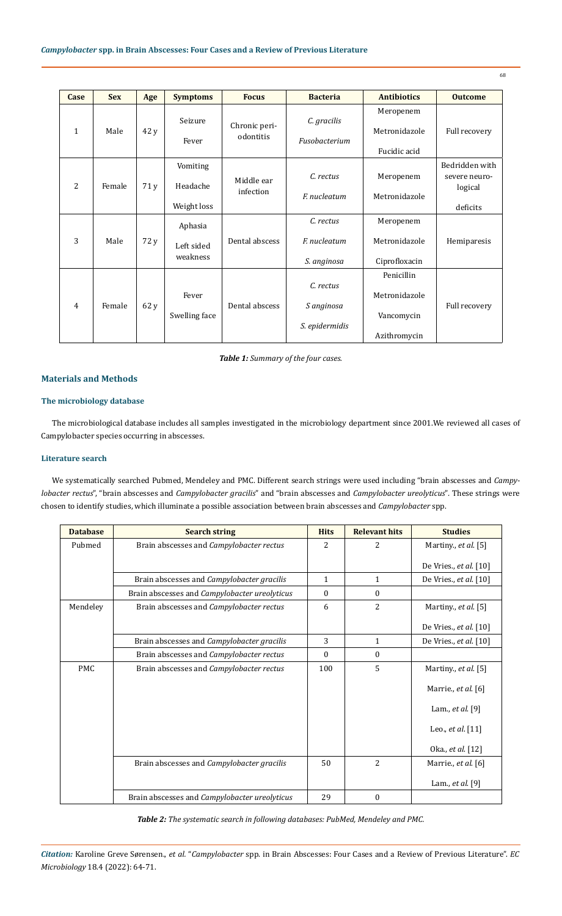| Case         | <b>Sex</b> | Age  | <b>Symptoms</b>        | <b>Focus</b>               | <b>Bacteria</b> | <b>Antibiotics</b> | <b>Outcome</b> |
|--------------|------------|------|------------------------|----------------------------|-----------------|--------------------|----------------|
|              |            |      |                        |                            |                 |                    |                |
| $\mathbf{1}$ |            | 42 y |                        | Chronic peri-<br>odontitis |                 | Meropenem          |                |
|              | Male       |      | Seizure                |                            | C. gracilis     |                    |                |
|              |            |      | Fever                  |                            | Fusobacterium   | Metronidazole      | Full recovery  |
|              |            |      |                        |                            |                 |                    |                |
|              |            |      |                        |                            |                 | Fucidic acid       |                |
| 2            | Female     | 71 y | Vomiting               | Middle ear<br>infection    |                 |                    | Bedridden with |
|              |            |      | Headache               |                            | C. rectus       | Meropenem          | severe neuro-  |
|              |            |      |                        |                            | F. nucleatum    |                    | logical        |
|              |            |      |                        |                            |                 | Metronidazole      |                |
|              |            |      | Weight loss            |                            |                 |                    | deficits       |
| 3            | Male       | 72 y | Aphasia                | Dental abscess             | C. rectus       | Meropenem          |                |
|              |            |      |                        |                            | F. nucleatum    |                    |                |
|              |            |      | Left sided<br>weakness |                            |                 | Metronidazole      | Hemiparesis    |
|              |            |      |                        |                            |                 |                    |                |
|              |            |      |                        |                            | S. anginosa     | Ciprofloxacin      |                |
| 4            | Female     | 62 y | Fever<br>Swelling face | Dental abscess             |                 | Penicillin         |                |
|              |            |      |                        |                            | C. rectus       |                    |                |
|              |            |      |                        |                            |                 | Metronidazole      |                |
|              |            |      |                        |                            | S anginosa      |                    | Full recovery  |
|              |            |      |                        |                            |                 | Vancomycin         |                |
|              |            |      |                        |                            | S. epidermidis  |                    |                |
|              |            |      |                        |                            |                 | Azithromycin       |                |

68

*Table 1: Summary of the four cases.*

## **Materials and Methods**

## **The microbiology database**

The microbiological database includes all samples investigated in the microbiology department since 2001.We reviewed all cases of Campylobacter species occurring in abscesses.

## **Literature search**

We systematically searched Pubmed, Mendeley and PMC. Different search strings were used including "brain abscesses and *Campylobacter rectus*", "brain abscesses and *Campylobacter gracilis*" and "brain abscesses and *Campylobacter ureolyticus*"*.* These strings were chosen to identify studies, which illuminate a possible association between brain abscesses and *Campylobacter* spp.

| <b>Database</b> | <b>Search string</b>                          | <b>Hits</b>  | <b>Relevant hits</b> | <b>Studies</b>         |
|-----------------|-----------------------------------------------|--------------|----------------------|------------------------|
| Pubmed          | Brain abscesses and Campylobacter rectus      | 2            | 2                    | Martiny., et al. [5]   |
|                 |                                               |              |                      | De Vries., et al. [10] |
|                 | Brain abscesses and Campylobacter gracilis    | $\mathbf{1}$ | $\mathbf{1}$         | De Vries., et al. [10] |
|                 | Brain abscesses and Campylobacter ureolyticus | $\theta$     | $\theta$             |                        |
| Mendeley        | Brain abscesses and Campylobacter rectus      | 6            | 2                    | Martiny., et al. [5]   |
|                 |                                               |              |                      | De Vries., et al. [10] |
|                 | Brain abscesses and Campylobacter gracilis    | 3            | $\mathbf{1}$         | De Vries., et al. [10] |
|                 | Brain abscesses and Campylobacter rectus      | $\Omega$     | $\theta$             |                        |
| <b>PMC</b>      | Brain abscesses and Campylobacter rectus      | 100          | 5                    | Martiny., et al. [5]   |
|                 |                                               |              |                      | Marrie., et al. [6]    |
|                 |                                               |              |                      | Lam., et al. [9]       |
|                 |                                               |              |                      | Leo., et al. $[11]$    |
|                 |                                               |              |                      | 0ka., et al. [12]      |
|                 | Brain abscesses and Campylobacter gracilis    | 50           | 2                    | Marrie., et al. [6]    |
|                 |                                               |              |                      | Lam., et al. [9]       |
|                 | Brain abscesses and Campylobacter ureolyticus | 29           | $\mathbf{0}$         |                        |

*Table 2: The systematic search in following databases: PubMed, Mendeley and PMC.*

*Citation:* Karoline Greve Sørensen., *et al.* "*Campylobacter* spp. in Brain Abscesses: Four Cases and a Review of Previous Literature". *EC Microbiology* 18.4 (2022): 64-71.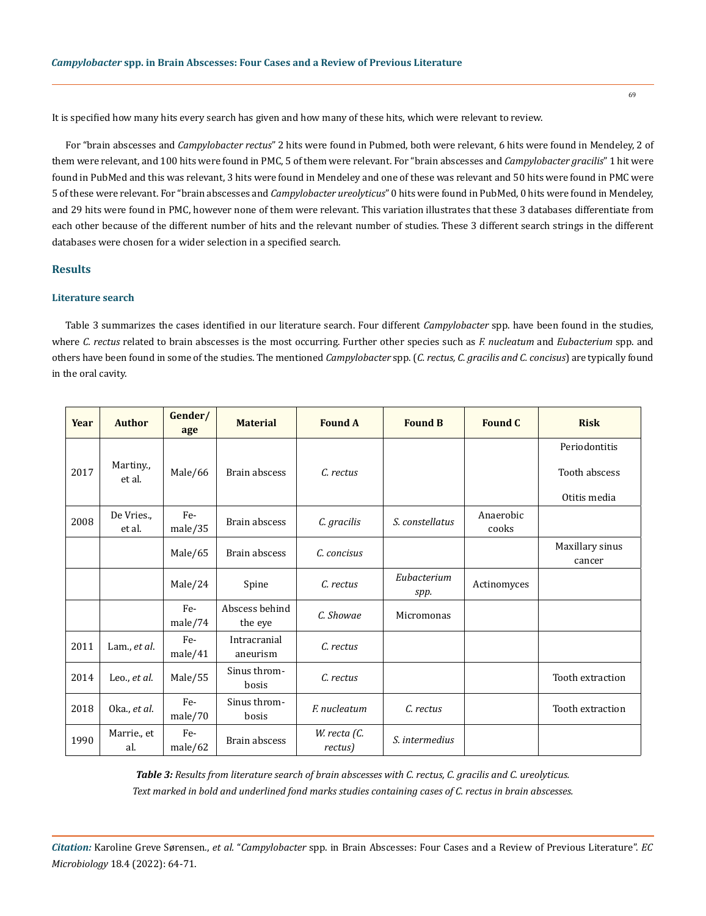It is specified how many hits every search has given and how many of these hits, which were relevant to review.

For "brain abscesses and *Campylobacter rectus*" 2 hits were found in Pubmed, both were relevant, 6 hits were found in Mendeley, 2 of them were relevant, and 100 hits were found in PMC, 5 of them were relevant. For "brain abscesses and *Campylobacter gracilis*" 1 hit were found in PubMed and this was relevant, 3 hits were found in Mendeley and one of these was relevant and 50 hits were found in PMC were 5 of these were relevant. For "brain abscesses and *Campylobacter ureolyticus*" 0 hits were found in PubMed, 0 hits were found in Mendeley, and 29 hits were found in PMC, however none of them were relevant. This variation illustrates that these 3 databases differentiate from each other because of the different number of hits and the relevant number of studies. These 3 different search strings in the different databases were chosen for a wider selection in a specified search.

## **Results**

## **Literature search**

Table 3 summarizes the cases identified in our literature search. Four different *Campylobacter* spp. have been found in the studies, where *C. rectus* related to brain abscesses is the most occurring. Further other species such as *F. nucleatum* and *Eubacterium* spp. and others have been found in some of the studies. The mentioned *Campylobacter* spp. (*C. rectus, C. gracilis and C. concisus*) are typically found in the oral cavity.

| Year | <b>Author</b>        | Gender/<br>age | <b>Material</b>           | <b>Found A</b>          | <b>Found B</b>      | <b>Found C</b>     | <b>Risk</b>                    |
|------|----------------------|----------------|---------------------------|-------------------------|---------------------|--------------------|--------------------------------|
| 2017 | Martiny.,<br>et al.  | Male/66        | Brain abscess             | C. rectus               |                     |                    | Periodontitis<br>Tooth abscess |
| 2008 | De Vries.,<br>et al. | Fe-<br>male/35 | Brain abscess             | C. gracilis             | S. constellatus     | Anaerobic<br>cooks | Otitis media                   |
|      |                      | Male/65        | Brain abscess             | C. concisus             |                     |                    | Maxillary sinus<br>cancer      |
|      |                      | Male/24        | Spine                     | C. rectus               | Eubacterium<br>spp. | Actinomyces        |                                |
|      |                      | Fe-<br>male/74 | Abscess behind<br>the eye | C. Showae               | Micromonas          |                    |                                |
| 2011 | Lam., et al.         | Fe-<br>male/41 | Intracranial<br>aneurism  | C. rectus               |                     |                    |                                |
| 2014 | Leo., et al.         | Male/55        | Sinus throm-<br>bosis     | C. rectus               |                     |                    | Tooth extraction               |
| 2018 | Oka., et al.         | Fe-<br>male/70 | Sinus throm-<br>bosis     | F. nucleatum            | C. rectus           |                    | Tooth extraction               |
| 1990 | Marrie., et<br>al.   | Fe-<br>male/62 | Brain abscess             | W. recta (C.<br>rectus) | S. intermedius      |                    |                                |

*Table 3: Results from literature search of brain abscesses with C. rectus, C. gracilis and C. ureolyticus. Text marked in bold and underlined fond marks studies containing cases of C. rectus in brain abscesses.*

*Citation:* Karoline Greve Sørensen., *et al.* "*Campylobacter* spp. in Brain Abscesses: Four Cases and a Review of Previous Literature". *EC Microbiology* 18.4 (2022): 64-71.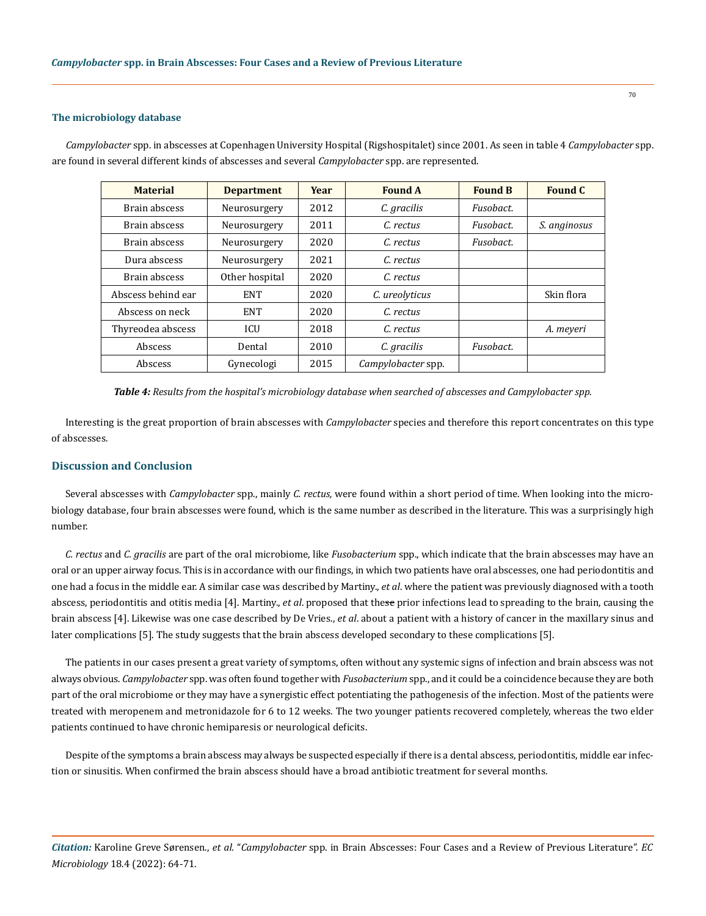#### **The microbiology database**

*Campylobacter* spp. in abscesses at Copenhagen University Hospital (Rigshospitalet) since 2001. As seen in table 4 *Campylobacter* spp. are found in several different kinds of abscesses and several *Campylobacter* spp. are represented.

| <b>Material</b>    | <b>Department</b> | <b>Year</b> | <b>Found A</b>     | <b>Found B</b> | Found C      |
|--------------------|-------------------|-------------|--------------------|----------------|--------------|
| Brain abscess      | Neurosurgery      | 2012        | C. gracilis        | Fusobact.      |              |
| Brain abscess      | Neurosurgery      | 2011        | C. rectus          | Fusobact.      | S. anginosus |
| Brain abscess      | Neurosurgery      | 2020        | C. rectus          | Fusobact.      |              |
| Dura abscess       | Neurosurgery      | 2021        | C. rectus          |                |              |
| Brain abscess      | Other hospital    | 2020        | C. rectus          |                |              |
| Abscess behind ear | <b>ENT</b>        | 2020        | C. ureolyticus     |                | Skin flora   |
| Abscess on neck    | <b>ENT</b>        | 2020        | C. rectus          |                |              |
| Thyreodea abscess  | <b>ICU</b>        | 2018        | C. rectus          |                | A. meyeri    |
| Abscess            | Dental            | 2010        | C. gracilis        | Fusobact.      |              |
| Abscess            | Gynecologi        | 2015        | Campylobacter spp. |                |              |

*Table 4: Results from the hospital's microbiology database when searched of abscesses and Campylobacter spp.*

Interesting is the great proportion of brain abscesses with *Campylobacter* species and therefore this report concentrates on this type of abscesses.

#### **Discussion and Conclusion**

Several abscesses with *Campylobacter* spp., mainly *C. rectus,* were found within a short period of time. When looking into the microbiology database, four brain abscesses were found, which is the same number as described in the literature. This was a surprisingly high number.

*C. rectus* and *C. gracilis* are part of the oral microbiome, like *Fusobacterium* spp., which indicate that the brain abscesses may have an oral or an upper airway focus. This is in accordance with our findings, in which two patients have oral abscesses, one had periodontitis and one had a focus in the middle ear. A similar case was described by Martiny., *et al*. where the patient was previously diagnosed with a tooth abscess, periodontitis and otitis media [4]. Martiny., *et al*. proposed that these prior infections lead to spreading to the brain, causing the brain abscess [4]. Likewise was one case described by De Vries., *et al*. about a patient with a history of cancer in the maxillary sinus and later complications [5]. The study suggests that the brain abscess developed secondary to these complications [5].

The patients in our cases present a great variety of symptoms, often without any systemic signs of infection and brain abscess was not always obvious. *Campylobacter* spp. was often found together with *Fusobacterium* spp., and it could be a coincidence because they are both part of the oral microbiome or they may have a synergistic effect potentiating the pathogenesis of the infection. Most of the patients were treated with meropenem and metronidazole for 6 to 12 weeks. The two younger patients recovered completely, whereas the two elder patients continued to have chronic hemiparesis or neurological deficits.

Despite of the symptoms a brain abscess may always be suspected especially if there is a dental abscess, periodontitis, middle ear infection or sinusitis. When confirmed the brain abscess should have a broad antibiotic treatment for several months.

*Citation:* Karoline Greve Sørensen., *et al.* "*Campylobacter* spp. in Brain Abscesses: Four Cases and a Review of Previous Literature". *EC Microbiology* 18.4 (2022): 64-71.